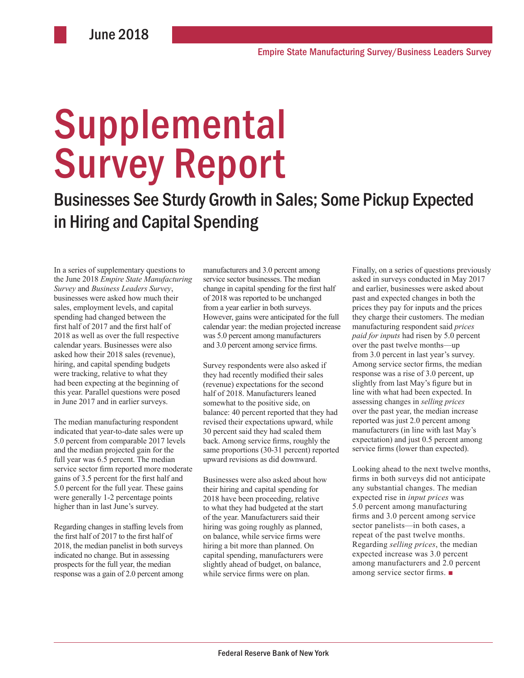# Supplemental Survey Report

Businesses See Sturdy Growth in Sales; Some Pickup Expected in Hiring and Capital Spending

In a series of supplementary questions to the June 2018 *Empire State Manufacturing Survey* and *Business Leaders Survey*, businesses were asked how much their sales, employment levels, and capital spending had changed between the first half of 2017 and the first half of 2018 as well as over the full respective calendar years. Businesses were also asked how their 2018 sales (revenue), hiring, and capital spending budgets were tracking, relative to what they had been expecting at the beginning of this year. Parallel questions were posed in June 2017 and in earlier surveys.

The median manufacturing respondent indicated that year-to-date sales were up 5.0 percent from comparable 2017 levels and the median projected gain for the full year was 6.5 percent. The median service sector firm reported more moderate gains of 3.5 percent for the first half and 5.0 percent for the full year. These gains were generally 1-2 percentage points higher than in last June's survey.

Regarding changes in staffing levels from the first half of 2017 to the first half of 2018, the median panelist in both surveys indicated no change. But in assessing prospects for the full year, the median response was a gain of 2.0 percent among manufacturers and 3.0 percent among service sector businesses. The median change in capital spending for the first half of 2018 was reported to be unchanged from a year earlier in both surveys. However, gains were anticipated for the full calendar year: the median projected increase was 5.0 percent among manufacturers and 3.0 percent among service firms.

Survey respondents were also asked if they had recently modified their sales (revenue) expectations for the second half of 2018. Manufacturers leaned somewhat to the positive side, on balance: 40 percent reported that they had revised their expectations upward, while 30 percent said they had scaled them back. Among service firms, roughly the same proportions (30-31 percent) reported upward revisions as did downward.

Businesses were also asked about how their hiring and capital spending for 2018 have been proceeding, relative to what they had budgeted at the start of the year. Manufacturers said their hiring was going roughly as planned, on balance, while service firms were hiring a bit more than planned. On capital spending, manufacturers were slightly ahead of budget, on balance, while service firms were on plan.

Finally, on a series of questions previously asked in surveys conducted in May 2017 and earlier, businesses were asked about past and expected changes in both the prices they pay for inputs and the prices they charge their customers. The median manufacturing respondent said *prices paid for inputs* had risen by 5.0 percent over the past twelve months—up from 3.0 percent in last year's survey. Among service sector firms, the median response was a rise of 3.0 percent, up slightly from last May's figure but in line with what had been expected. In assessing changes in *selling prices* over the past year, the median increase reported was just 2.0 percent among manufacturers (in line with last May's expectation) and just 0.5 percent among service firms (lower than expected).

Looking ahead to the next twelve months, firms in both surveys did not anticipate any substantial changes. The median expected rise in *input prices* was 5.0 percent among manufacturing firms and 3.0 percent among service sector panelists—in both cases, a repeat of the past twelve months. Regarding *selling prices*, the median expected increase was 3.0 percent among manufacturers and 2.0 percent among service sector firms. ■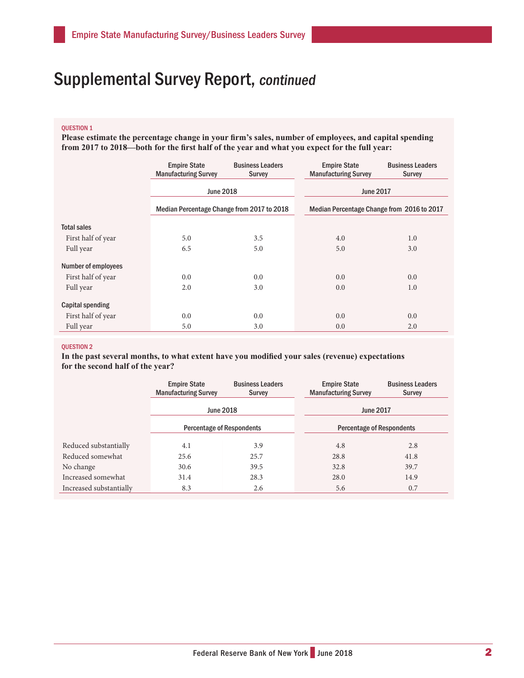### QUESTION 1

**Please estimate the percentage change in your firm's sales, number of employees, and capital spending from 2017 to 2018—both for the first half of the year and what you expect for the full year:**

|                            | <b>Empire State</b><br><b>Manufacturing Survey</b> | <b>Business Leaders</b><br><b>Survey</b> | <b>Empire State</b><br><b>Manufacturing Survey</b> | <b>Business Leaders</b><br><b>Survey</b>   |  |
|----------------------------|----------------------------------------------------|------------------------------------------|----------------------------------------------------|--------------------------------------------|--|
|                            | <b>June 2018</b>                                   |                                          |                                                    | <b>June 2017</b>                           |  |
|                            | Median Percentage Change from 2017 to 2018         |                                          |                                                    | Median Percentage Change from 2016 to 2017 |  |
| <b>Total sales</b>         |                                                    |                                          |                                                    |                                            |  |
| First half of year         | 5.0                                                | 3.5                                      | 4.0                                                | 1.0                                        |  |
| Full year                  | 6.5                                                | 5.0                                      | 5.0                                                | 3.0                                        |  |
| <b>Number of employees</b> |                                                    |                                          |                                                    |                                            |  |
| First half of year         | 0.0                                                | 0.0                                      | 0.0                                                | 0.0                                        |  |
| Full year                  | 2.0                                                | 3.0                                      | 0.0                                                | 1.0                                        |  |
| Capital spending           |                                                    |                                          |                                                    |                                            |  |
| First half of year         | 0.0                                                | 0.0                                      | 0.0                                                | 0.0                                        |  |
| Full year                  | 5.0                                                | 3.0                                      | 0.0                                                | 2.0                                        |  |

### QUESTION 2

**In the past several months, to what extent have you modified your sales (revenue) expectations for the second half of the year?**

|                         | <b>Empire State</b><br><b>Manufacturing Survey</b> | <b>Business Leaders</b><br><b>Survey</b> | <b>Empire State</b><br><b>Manufacturing Survey</b> | <b>Business Leaders</b><br>Survey |
|-------------------------|----------------------------------------------------|------------------------------------------|----------------------------------------------------|-----------------------------------|
|                         | <b>June 2018</b>                                   |                                          | <b>June 2017</b>                                   |                                   |
|                         | <b>Percentage of Respondents</b>                   |                                          | <b>Percentage of Respondents</b>                   |                                   |
| Reduced substantially   | 4.1                                                | 3.9                                      | 4.8                                                | 2.8                               |
| Reduced somewhat        | 25.6                                               | 25.7                                     | 28.8                                               | 41.8                              |
| No change               | 30.6                                               | 39.5                                     | 32.8                                               | 39.7                              |
| Increased somewhat      | 31.4                                               | 28.3                                     | 28.0                                               | 14.9                              |
| Increased substantially | 8.3                                                | 2.6                                      | 5.6                                                | 0.7                               |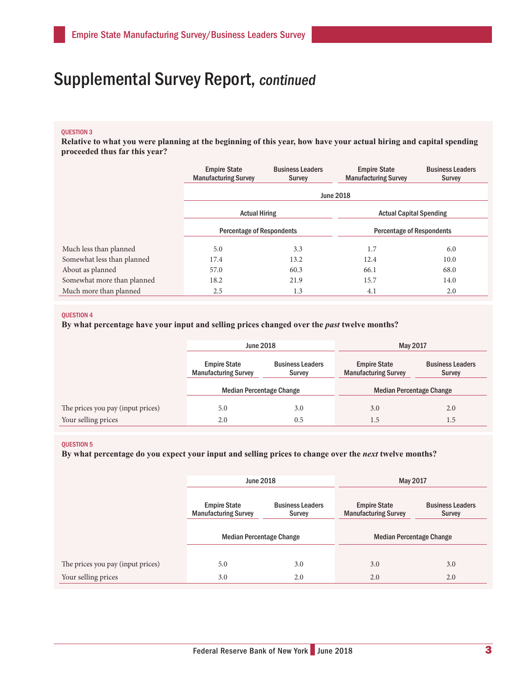### QUESTION 3

**Relative to what you were planning at the beginning of this year, how have your actual hiring and capital spending proceeded thus far this year?**

|                            | <b>Empire State</b><br><b>Manufacturing Survey</b> | <b>Business Leaders</b><br>Survey | <b>Empire State</b><br><b>Manufacturing Survey</b> | <b>Business Leaders</b><br><b>Survey</b> |  |
|----------------------------|----------------------------------------------------|-----------------------------------|----------------------------------------------------|------------------------------------------|--|
|                            | <b>June 2018</b>                                   |                                   |                                                    |                                          |  |
|                            | <b>Actual Hiring</b>                               |                                   | <b>Actual Capital Spending</b>                     |                                          |  |
|                            | <b>Percentage of Respondents</b>                   |                                   | <b>Percentage of Respondents</b>                   |                                          |  |
| Much less than planned     | 5.0                                                | 3.3                               | 1.7                                                | 6.0                                      |  |
| Somewhat less than planned | 17.4                                               | 13.2                              | 12.4                                               | 10.0                                     |  |
| About as planned           | 57.0                                               | 60.3                              | 66.1                                               | 68.0                                     |  |
| Somewhat more than planned | 18.2                                               | 21.9                              | 15.7                                               | 14.0                                     |  |
| Much more than planned     | 2.5                                                | 1.3                               | 4.1                                                | 2.0                                      |  |

### **OUESTION 4**

**By what percentage have your input and selling prices changed over the** *past* **twelve months?** 

|                                   | <b>June 2018</b>                                   |                                   | May 2017                                           |                                          |
|-----------------------------------|----------------------------------------------------|-----------------------------------|----------------------------------------------------|------------------------------------------|
|                                   | <b>Empire State</b><br><b>Manufacturing Survey</b> | <b>Business Leaders</b><br>Survey | <b>Empire State</b><br><b>Manufacturing Survey</b> | <b>Business Leaders</b><br><b>Survey</b> |
|                                   | <b>Median Percentage Change</b>                    |                                   | <b>Median Percentage Change</b>                    |                                          |
| The prices you pay (input prices) | 5.0                                                | 3.0                               | 3.0                                                | 2.0                                      |
| Your selling prices               | 2.0                                                | 0.5                               | 1.5                                                | 1.5                                      |

### QUESTION 5

**By what percentage do you expect your input and selling prices to change over the** *next* **twelve months?** 

|                                   | <b>June 2018</b>                                   |                                   | May 2017                                           |                                          |
|-----------------------------------|----------------------------------------------------|-----------------------------------|----------------------------------------------------|------------------------------------------|
|                                   | <b>Empire State</b><br><b>Manufacturing Survey</b> | <b>Business Leaders</b><br>Survey | <b>Empire State</b><br><b>Manufacturing Survey</b> | <b>Business Leaders</b><br><b>Survey</b> |
|                                   | <b>Median Percentage Change</b>                    |                                   | <b>Median Percentage Change</b>                    |                                          |
|                                   |                                                    |                                   |                                                    |                                          |
| The prices you pay (input prices) | 5.0                                                | 3.0                               | 3.0                                                | 3.0                                      |
| Your selling prices               | 3.0                                                | 2.0                               | 2.0                                                | 2.0                                      |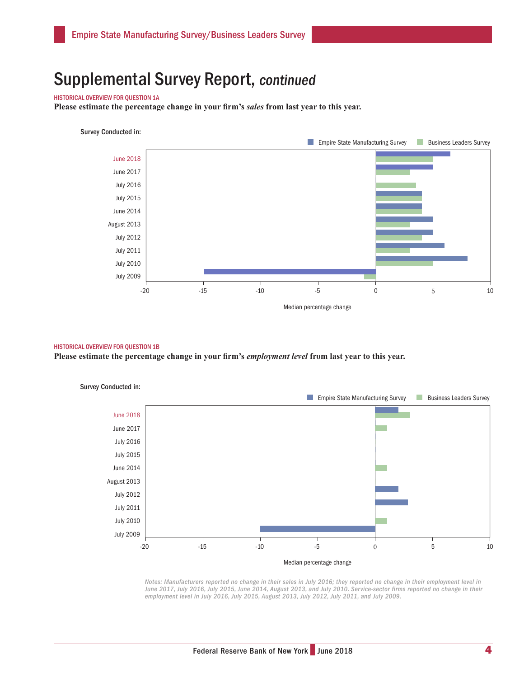### HISTORICAL OVERVIEW FOR QUESTION 1A

**Please estimate the percentage change in your firm's** *sales* **from last year to this year.**

### Survey Conducted in:



### HISTORICAL OVERVIEW FOR QUESTION 1B

**Please estimate the percentage change in your firm's** *employment level* **from last year to this year.** 



*Notes: Manufacturers reported no change in their sales in July 2016; they reported no change in their employment level in*  June 2017, July 2016, July 2015, June 2014, August 2013, and July 2010. Service-sector firms reported no change in their *employment level in July 2016, July 2015, August 2013, July 2012, July 2011, and July 2009.*